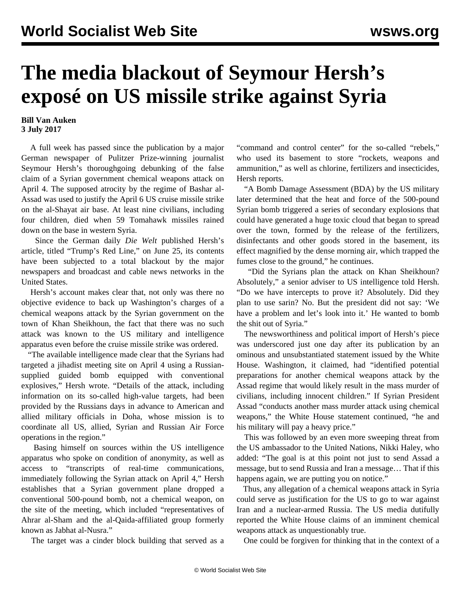## **The media blackout of Seymour Hersh's exposé on US missile strike against Syria**

## **Bill Van Auken 3 July 2017**

 A full week has passed since the publication by a major German newspaper of Pulitzer Prize-winning journalist Seymour Hersh's thoroughgoing debunking of the false claim of a Syrian government chemical weapons attack on April 4. The supposed atrocity by the regime of Bashar al-Assad was used to justify the April 6 US cruise missile strike on the al-Shayat air base. At least nine civilians, including four children, died when 59 Tomahawk missiles rained down on the base in western Syria.

 Since the German daily *Die Welt* published Hersh's article, titled ["Trump's Red Line,](https://www.welt.de/politik/ausland/article165905578/Trump-s-Red-Line.html)" on June 25, its contents have been subjected to a total blackout by the major newspapers and broadcast and cable news networks in the United States.

 Hersh's account makes clear that, not only was there no objective evidence to back up Washington's charges of a chemical weapons attack by the Syrian government on the town of Khan Sheikhoun, the fact that there was no such attack was known to the US military and intelligence apparatus even before the cruise missile strike was ordered.

 "The available intelligence made clear that the Syrians had targeted a jihadist meeting site on April 4 using a Russiansupplied guided bomb equipped with conventional explosives," Hersh wrote. "Details of the attack, including information on its so-called high-value targets, had been provided by the Russians days in advance to American and allied military officials in Doha, whose mission is to coordinate all US, allied, Syrian and Russian Air Force operations in the region."

 Basing himself on sources within the US intelligence apparatus who spoke on condition of anonymity, as well as access to "transcripts of real-time communications, immediately following the Syrian attack on April 4," Hersh establishes that a Syrian government plane dropped a conventional 500-pound bomb, not a chemical weapon, on the site of the meeting, which included "representatives of Ahrar al-Sham and the al-Qaida-affiliated group formerly known as Jabhat al-Nusra."

The target was a cinder block building that served as a

"command and control center" for the so-called "rebels," who used its basement to store "rockets, weapons and ammunition," as well as chlorine, fertilizers and insecticides, Hersh reports.

 "A Bomb Damage Assessment (BDA) by the US military later determined that the heat and force of the 500-pound Syrian bomb triggered a series of secondary explosions that could have generated a huge toxic cloud that began to spread over the town, formed by the release of the fertilizers, disinfectants and other goods stored in the basement, its effect magnified by the dense morning air, which trapped the fumes close to the ground," he continues.

 "Did the Syrians plan the attack on Khan Sheikhoun? Absolutely," a senior adviser to US intelligence told Hersh. "Do we have intercepts to prove it? Absolutely. Did they plan to use sarin? No. But the president did not say: 'We have a problem and let's look into it.' He wanted to bomb the shit out of Syria."

 The newsworthiness and political import of Hersh's piece was underscored just one day after its publication by an ominous and unsubstantiated statement issued by the White House. Washington, it claimed, had "identified potential preparations for another chemical weapons attack by the Assad regime that would likely result in the mass murder of civilians, including innocent children." If Syrian President Assad "conducts another mass murder attack using chemical weapons," the White House statement continued, "he and his military will pay a heavy price."

 This was followed by an even more sweeping threat from the US ambassador to the United Nations, Nikki Haley, who added: "The goal is at this point not just to send Assad a message, but to send Russia and Iran a message… That if this happens again, we are putting you on notice."

 Thus, any allegation of a chemical weapons attack in Syria could serve as justification for the US to go to war against Iran and a nuclear-armed Russia. The US media dutifully reported the White House claims of an imminent chemical weapons attack as unquestionably true.

One could be forgiven for thinking that in the context of a